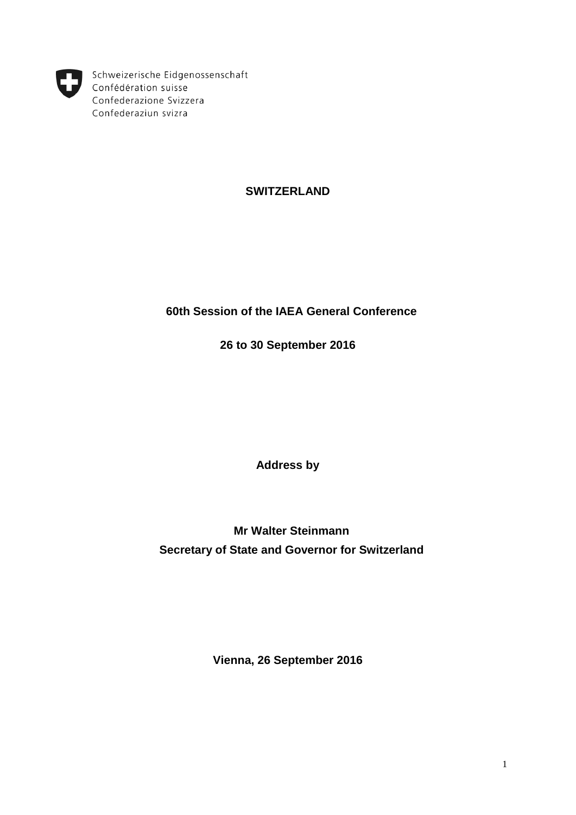

Schweizerische Eidgenossenschaft Confédération suisse Confederazione Svizzera Confederaziun svizra

# **SWITZERLAND**

## **60th Session of the IAEA General Conference**

**26 to 30 September 2016**

**Address by**

**Mr Walter Steinmann Secretary of State and Governor for Switzerland**

**Vienna, 26 September 2016**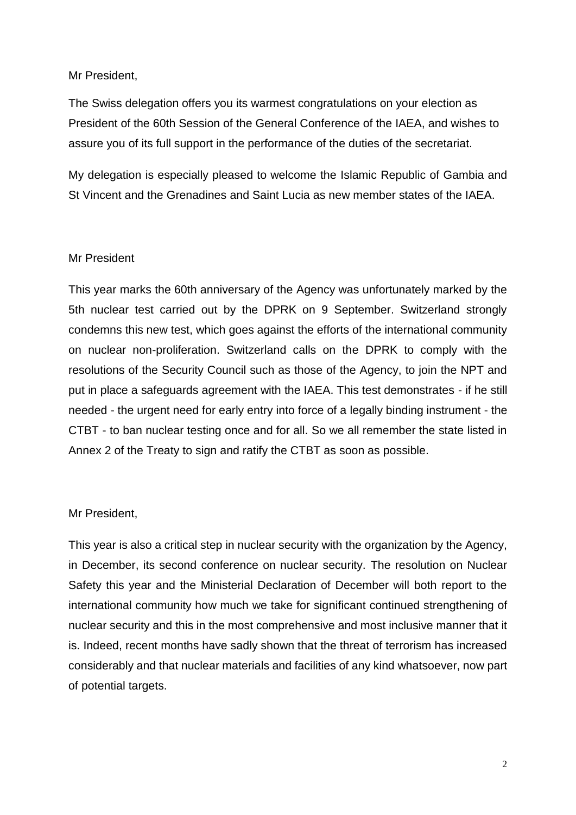## Mr President,

The Swiss delegation offers you its warmest congratulations on your election as President of the 60th Session of the General Conference of the IAEA, and wishes to assure you of its full support in the performance of the duties of the secretariat.

My delegation is especially pleased to welcome the Islamic Republic of Gambia and St Vincent and the Grenadines and Saint Lucia as new member states of the IAEA.

## Mr President

This year marks the 60th anniversary of the Agency was unfortunately marked by the 5th nuclear test carried out by the DPRK on 9 September. Switzerland strongly condemns this new test, which goes against the efforts of the international community on nuclear non-proliferation. Switzerland calls on the DPRK to comply with the resolutions of the Security Council such as those of the Agency, to join the NPT and put in place a safeguards agreement with the IAEA. This test demonstrates - if he still needed - the urgent need for early entry into force of a legally binding instrument - the CTBT - to ban nuclear testing once and for all. So we all remember the state listed in Annex 2 of the Treaty to sign and ratify the CTBT as soon as possible.

## Mr President,

This year is also a critical step in nuclear security with the organization by the Agency, in December, its second conference on nuclear security. The resolution on Nuclear Safety this year and the Ministerial Declaration of December will both report to the international community how much we take for significant continued strengthening of nuclear security and this in the most comprehensive and most inclusive manner that it is. Indeed, recent months have sadly shown that the threat of terrorism has increased considerably and that nuclear materials and facilities of any kind whatsoever, now part of potential targets.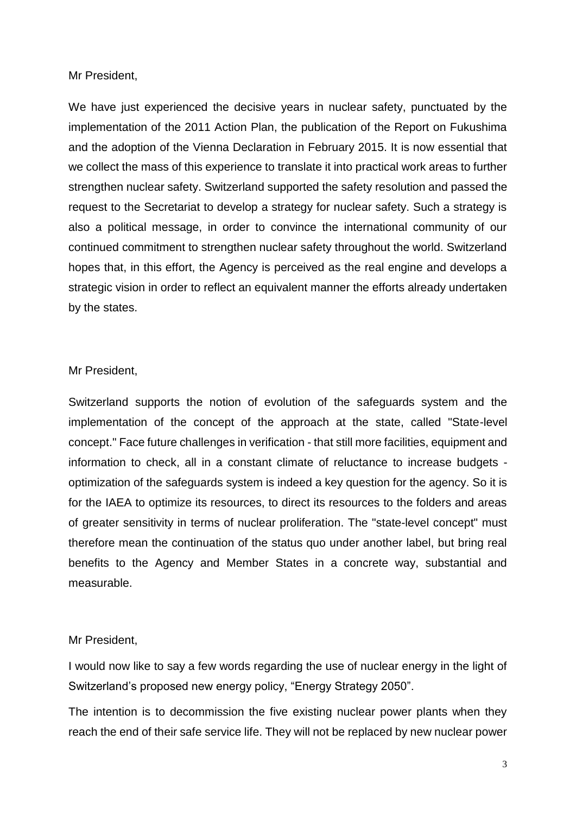Mr President,

We have just experienced the decisive years in nuclear safety, punctuated by the implementation of the 2011 Action Plan, the publication of the Report on Fukushima and the adoption of the Vienna Declaration in February 2015. It is now essential that we collect the mass of this experience to translate it into practical work areas to further strengthen nuclear safety. Switzerland supported the safety resolution and passed the request to the Secretariat to develop a strategy for nuclear safety. Such a strategy is also a political message, in order to convince the international community of our continued commitment to strengthen nuclear safety throughout the world. Switzerland hopes that, in this effort, the Agency is perceived as the real engine and develops a strategic vision in order to reflect an equivalent manner the efforts already undertaken by the states.

#### Mr President,

Switzerland supports the notion of evolution of the safeguards system and the implementation of the concept of the approach at the state, called "State-level concept." Face future challenges in verification - that still more facilities, equipment and information to check, all in a constant climate of reluctance to increase budgets optimization of the safeguards system is indeed a key question for the agency. So it is for the IAEA to optimize its resources, to direct its resources to the folders and areas of greater sensitivity in terms of nuclear proliferation. The "state-level concept" must therefore mean the continuation of the status quo under another label, but bring real benefits to the Agency and Member States in a concrete way, substantial and measurable.

#### Mr President,

I would now like to say a few words regarding the use of nuclear energy in the light of Switzerland's proposed new energy policy, "Energy Strategy 2050".

The intention is to decommission the five existing nuclear power plants when they reach the end of their safe service life. They will not be replaced by new nuclear power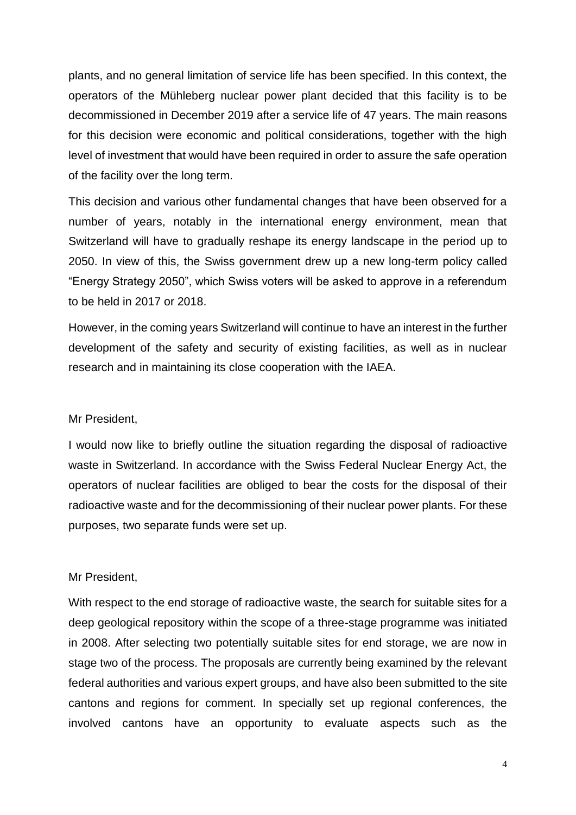plants, and no general limitation of service life has been specified. In this context, the operators of the Mühleberg nuclear power plant decided that this facility is to be decommissioned in December 2019 after a service life of 47 years. The main reasons for this decision were economic and political considerations, together with the high level of investment that would have been required in order to assure the safe operation of the facility over the long term.

This decision and various other fundamental changes that have been observed for a number of years, notably in the international energy environment, mean that Switzerland will have to gradually reshape its energy landscape in the period up to 2050. In view of this, the Swiss government drew up a new long-term policy called "Energy Strategy 2050", which Swiss voters will be asked to approve in a referendum to be held in 2017 or 2018.

However, in the coming years Switzerland will continue to have an interest in the further development of the safety and security of existing facilities, as well as in nuclear research and in maintaining its close cooperation with the IAEA.

#### Mr President,

I would now like to briefly outline the situation regarding the disposal of radioactive waste in Switzerland. In accordance with the Swiss Federal Nuclear Energy Act, the operators of nuclear facilities are obliged to bear the costs for the disposal of their radioactive waste and for the decommissioning of their nuclear power plants. For these purposes, two separate funds were set up.

#### Mr President,

With respect to the end storage of radioactive waste, the search for suitable sites for a deep geological repository within the scope of a three-stage programme was initiated in 2008. After selecting two potentially suitable sites for end storage, we are now in stage two of the process. The proposals are currently being examined by the relevant federal authorities and various expert groups, and have also been submitted to the site cantons and regions for comment. In specially set up regional conferences, the involved cantons have an opportunity to evaluate aspects such as the